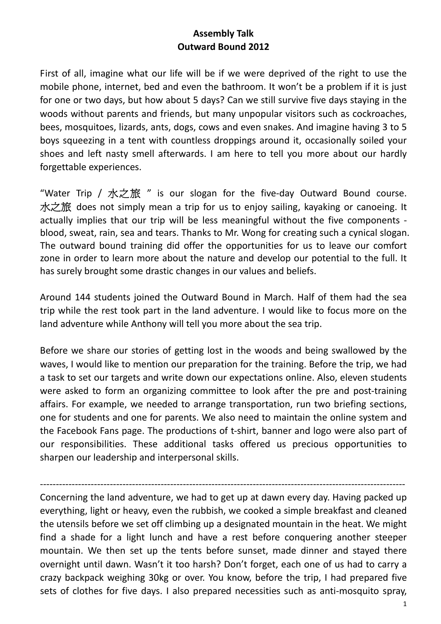## **Assembly Talk Outward Bound 2012**

First of all, imagine what our life will be if we were deprived of the right to use the mobile phone, internet, bed and even the bathroom. It won't be a problem if it is just for one or two days, but how about 5 days? Can we still survive five days staying in the woods without parents and friends, but many unpopular visitors such as cockroaches, bees, mosquitoes, lizards, ants, dogs, cows and even snakes. And imagine having 3 to 5 boys squeezing in a tent with countless droppings around it, occasionally soiled your shoes and left nasty smell afterwards. I am here to tell you more about our hardly forgettable experiences.

"Water Trip / 水之旅 " is our slogan for the five-day Outward Bound course. 水之旅 does not simply mean a trip for us to enjoy sailing, kayaking or canoeing. It actually implies that our trip will be less meaningful without the five components blood, sweat, rain, sea and tears. Thanks to Mr. Wong for creating such a cynical slogan. The outward bound training did offer the opportunities for us to leave our comfort zone in order to learn more about the nature and develop our potential to the full. It has surely brought some drastic changes in our values and beliefs.

Around 144 students joined the Outward Bound in March. Half of them had the sea trip while the rest took part in the land adventure. I would like to focus more on the land adventure while Anthony will tell you more about the sea trip.

Before we share our stories of getting lost in the woods and being swallowed by the waves, I would like to mention our preparation for the training. Before the trip, we had a task to set our targets and write down our expectations online. Also, eleven students were asked to form an organizing committee to look after the pre and post-training affairs. For example, we needed to arrange transportation, run two briefing sections, one for students and one for parents. We also need to maintain the online system and the Facebook Fans page. The productions of t‐shirt, banner and logo were also part of our responsibilities. These additional tasks offered us precious opportunities to sharpen our leadership and interpersonal skills.

‐‐‐‐‐‐‐‐‐‐‐‐‐‐‐‐‐‐‐‐‐‐‐‐‐‐‐‐‐‐‐‐‐‐‐‐‐‐‐‐‐‐‐‐‐‐‐‐‐‐‐‐‐‐‐‐‐‐‐‐‐‐‐‐‐‐‐‐‐‐‐‐‐‐‐‐‐‐‐‐‐‐‐‐‐‐‐‐‐‐‐‐‐‐‐‐‐‐‐‐‐‐‐‐‐‐‐‐‐‐‐‐‐‐‐ Concerning the land adventure, we had to get up at dawn every day. Having packed up everything, light or heavy, even the rubbish, we cooked a simple breakfast and cleaned the utensils before we set off climbing up a designated mountain in the heat. We might find a shade for a light lunch and have a rest before conquering another steeper mountain. We then set up the tents before sunset, made dinner and stayed there overnight until dawn. Wasn't it too harsh? Don't forget, each one of us had to carry a crazy backpack weighing 30kg or over. You know, before the trip, I had prepared five sets of clothes for five days. I also prepared necessities such as anti-mosquito spray,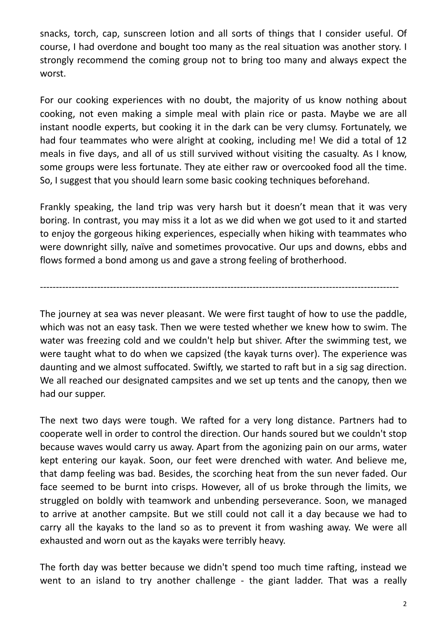snacks, torch, cap, sunscreen lotion and all sorts of things that I consider useful. Of course, I had overdone and bought too many as the real situation was another story. I strongly recommend the coming group not to bring too many and always expect the worst.

For our cooking experiences with no doubt, the majority of us know nothing about cooking, not even making a simple meal with plain rice or pasta. Maybe we are all instant noodle experts, but cooking it in the dark can be very clumsy. Fortunately, we had four teammates who were alright at cooking, including me! We did a total of 12 meals in five days, and all of us still survived without visiting the casualty. As I know, some groups were less fortunate. They ate either raw or overcooked food all the time. So, I suggest that you should learn some basic cooking techniques beforehand.

Frankly speaking, the land trip was very harsh but it doesn't mean that it was very boring. In contrast, you may miss it a lot as we did when we got used to it and started to enjoy the gorgeous hiking experiences, especially when hiking with teammates who were downright silly, naïve and sometimes provocative. Our ups and downs, ebbs and flows formed a bond among us and gave a strong feeling of brotherhood.

‐‐‐‐‐‐‐‐‐‐‐‐‐‐‐‐‐‐‐‐‐‐‐‐‐‐‐‐‐‐‐‐‐‐‐‐‐‐‐‐‐‐‐‐‐‐‐‐‐‐‐‐‐‐‐‐‐‐‐‐‐‐‐‐‐‐‐‐‐‐‐‐‐‐‐‐‐‐‐‐‐‐‐‐‐‐‐‐‐‐‐‐‐‐‐‐‐‐‐‐‐‐‐‐‐‐‐‐‐‐‐‐‐

The journey at sea was never pleasant. We were first taught of how to use the paddle, which was not an easy task. Then we were tested whether we knew how to swim. The water was freezing cold and we couldn't help but shiver. After the swimming test, we were taught what to do when we capsized (the kayak turns over). The experience was daunting and we almost suffocated. Swiftly, we started to raft but in a sig sag direction. We all reached our designated campsites and we set up tents and the canopy, then we had our supper.

The next two days were tough. We rafted for a very long distance. Partners had to cooperate well in order to control the direction. Our hands soured but we couldn't stop because waves would carry us away. Apart from the agonizing pain on our arms, water kept entering our kayak. Soon, our feet were drenched with water. And believe me, that damp feeling was bad. Besides, the scorching heat from the sun never faded. Our face seemed to be burnt into crisps. However, all of us broke through the limits, we struggled on boldly with teamwork and unbending perseverance. Soon, we managed to arrive at another campsite. But we still could not call it a day because we had to carry all the kayaks to the land so as to prevent it from washing away. We were all exhausted and worn out as the kayaks were terribly heavy.

The forth day was better because we didn't spend too much time rafting, instead we went to an island to try another challenge - the giant ladder. That was a really